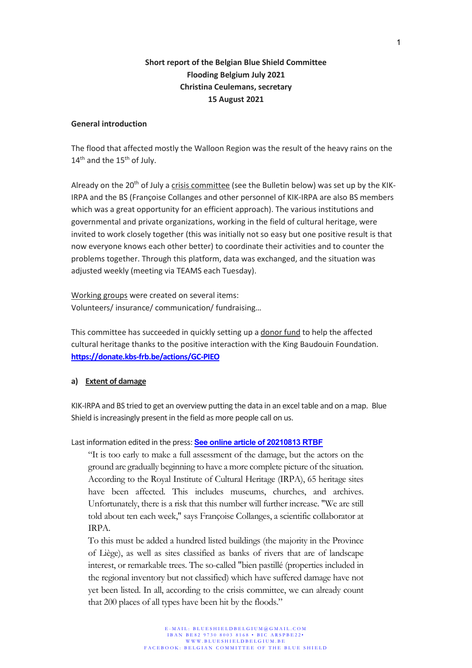# **Short report of the Belgian Blue Shield Committee Flooding Belgium July 2021 Christina Ceulemans, secretary 15 August 2021**

### **General introduction**

The flood that affected mostly the Walloon Region was the result of the heavy rains on the 14<sup>th</sup> and the 15<sup>th</sup> of July.

Already on the  $20<sup>th</sup>$  of July a crisis committee (see the Bulletin below) was set up by the KIK-IRPA and the BS (Françoise Collanges and other personnel of KIK-IRPA are also BS members which was a great opportunity for an efficient approach). The various institutions and governmental and private organizations, working in the field of cultural heritage, were invited to work closely together (this was initially not so easy but one positive result is that now everyone knows each other better) to coordinate their activities and to counter the problems together. Through this platform, data was exchanged, and the situation was adjusted weekly (meeting via TEAMS each Tuesday).

Working groups were created on several items: Volunteers/ insurance/ communication/ fundraising…

This committee has succeeded in quickly setting up a donor fund to help the affected cultural heritage thanks to the positive interaction with the King Baudouin Foundation. **<https://donate.kbs-frb.be/actions/GC-PIEO>**

### **a) Extent of damage**

KIK-IRPA and BS tried to get an overview putting the data in an excel table and on a map. Blue Shield is increasingly present in the field as more people call on us.

### Last information edited in the press: **[See online article of 20210813 RTBF](https://www.rtbf.be/info/societe/detail_musees-batiments-classes-eglises-quels-degats-notre-patrimoine-a-t-il-subis-suite-aux-inondations?id=10823234&fbclid=IwAR283BLOCTvzU84XrqvPonWh8m6sbx_KRIlewUm_Iqhc3G8ckXXg__6hDgw)**

"It is too early to make a full assessment of the damage, but the actors on the ground are gradually beginning to have a more complete picture of the situation. According to the Royal Institute of Cultural Heritage (IRPA), 65 heritage sites have been affected. This includes museums, churches, and archives. Unfortunately, there is a risk that this number will further increase. "We are still told about ten each week," says Françoise Collanges, a scientific collaborator at IRPA.

To this must be added a hundred listed buildings (the majority in the Province of Liège), as well as sites classified as banks of rivers that are of landscape interest, or remarkable trees. The so-called "bien pastillé (properties included in the regional inventory but not classified) which have suffered damage have not yet been listed. In all, according to the crisis committee, we can already count that 200 places of all types have been hit by the floods."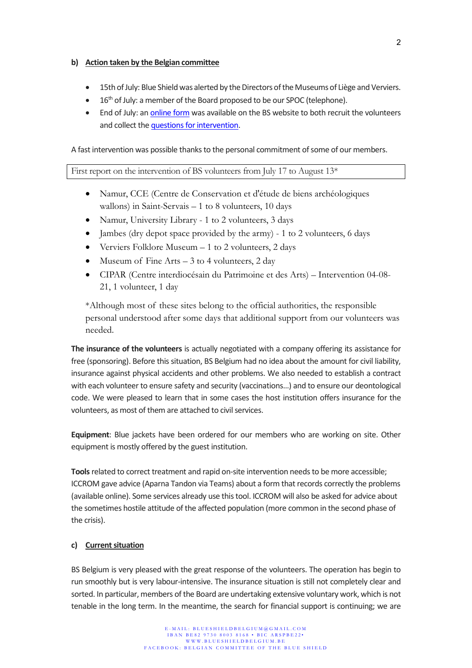### **b) Action taken by the Belgian committee**

- 15th of July: Blue Shield was alerted by the Directors of the Museums of Liège and Verviers.
- 16<sup>th</sup> of July: a member of the Board proposed to be our SPOC (telephone).
- End of July: a[n online form](https://docs.google.com/forms/d/e/1FAIpQLSdExbgsssroqX5l5dbe1-Ip1B_sPfKr-wEeb-gWQbCGqRsGlw/viewform) was available on the BS website to both recruit the volunteers and collect th[e questions for intervention.](https://docs.google.com/forms/d/e/1FAIpQLScDXKTTGgbYSWTMMlR7gPRT9rhCj9DMNtGwLuAPwp93Zha82Q/viewform)

A fast intervention was possible thanks to the personal commitment of some of our members.

First report on the intervention of BS volunteers from July 17 to August 13<sup>\*</sup>

- Namur, CCE (Centre de Conservation et d'étude de biens archéologiques wallons) in Saint-Servais  $-1$  to 8 volunteers, 10 days
- Namur, University Library 1 to 2 volunteers, 3 days
- Jambes (dry depot space provided by the army) 1 to 2 volunteers, 6 days
- Verviers Folklore Museum 1 to 2 volunteers, 2 days
- Museum of Fine Arts  $-3$  to 4 volunteers, 2 day
- CIPAR (Centre interdiocésain du Patrimoine et des Arts) Intervention 04-08- 21, 1 volunteer, 1 day

\*Although most of these sites belong to the official authorities, the responsible personal understood after some days that additional support from our volunteers was needed.

**The insurance of the volunteers** is actually negotiated with a company offering its assistance for free (sponsoring). Before this situation, BS Belgium had no idea about the amount for civil liability, insurance against physical accidents and other problems. We also needed to establish a contract with each volunteer to ensure safety and security (vaccinations…) and to ensure our deontological code. We were pleased to learn that in some cases the host institution offers insurance for the volunteers, as most of them are attached to civil services.

**Equipment**: Blue jackets have been ordered for our members who are working on site. Other equipment is mostly offered by the guest institution.

**Tools**related to correct treatment and rapid on-site intervention needs to be more accessible; ICCROM gave advice (Aparna Tandon via Teams) about a form that records correctly the problems (available online). Some services already use this tool. ICCROM will also be asked for advice about the sometimes hostile attitude of the affected population (more common in the second phase of the crisis).

### **c) Current situation**

BS Belgium is very pleased with the great response of the volunteers. The operation has begin to run smoothly but is very labour-intensive. The insurance situation is still not completely clear and sorted. In particular, members of the Board are undertaking extensive voluntary work, which is not tenable in the long term. In the meantime, the search for financial support is continuing; we are

2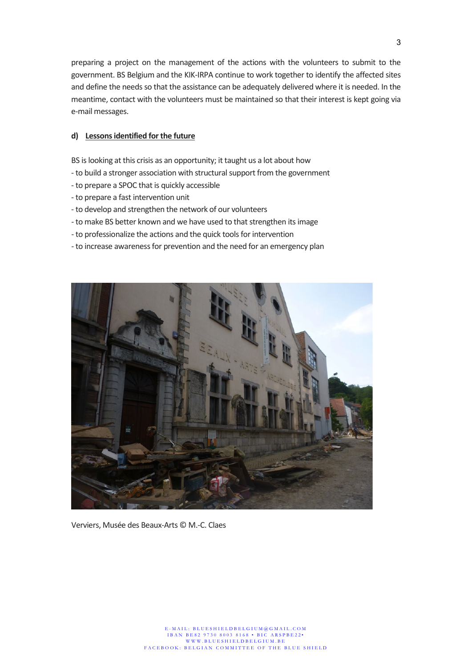preparing a project on the management of the actions with the volunteers to submit to the government. BS Belgium and the KIK-IRPA continue to work together to identify the affected sites and define the needs so that the assistance can be adequately delivered where it is needed. In the meantime, contact with the volunteers must be maintained so that their interest is kept going via e-mail messages.

### **d) Lessons identified for the future**

BS is looking at this crisis as an opportunity; it taught us a lot about how

- to build a stronger association with structural support from the government
- to prepare a SPOC that is quickly accessible
- to prepare a fast intervention unit
- to develop and strengthen the network of our volunteers
- to make BS better known and we have used to that strengthen itsimage
- to professionalize the actions and the quick tools for intervention
- to increase awareness for prevention and the need for an emergency plan



Verviers, Musée des Beaux-Arts © M.-C. Claes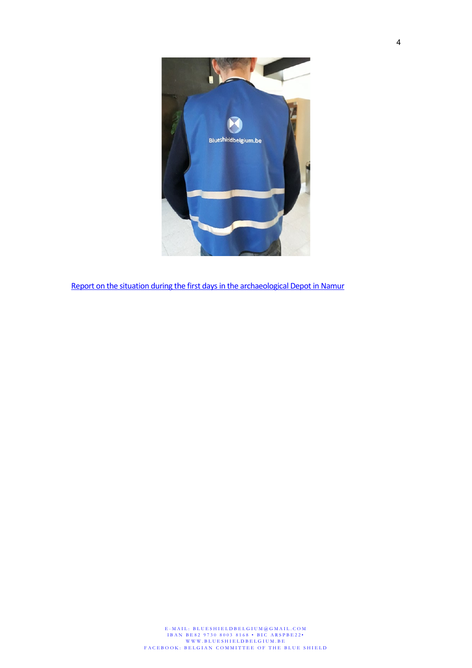

[Report on the situation during the first days in the archaeological Depot in Namur](https://www.dropbox.com/s/uvyky1co6gi671e/Enregist._2021_07_31_12_06_05_176.mp4?dl=0)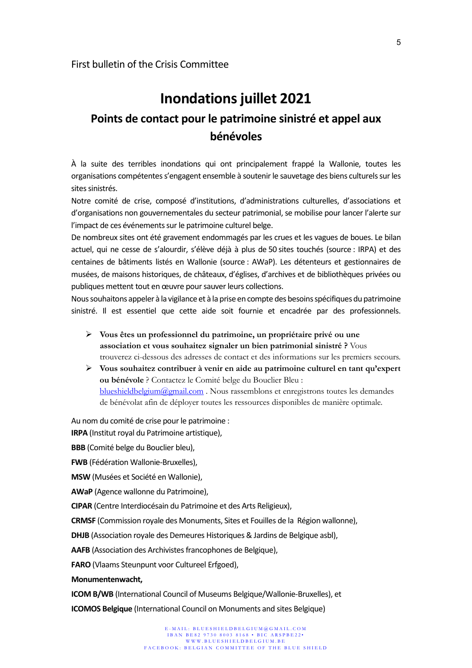# **Inondations juillet 2021 Points de contact pour le patrimoine sinistré et appel aux bénévoles**

À la suite des terribles inondations qui ont principalement frappé la Wallonie, toutes les organisations compétentes s'engagent ensemble à soutenir le sauvetage des biens culturels sur les sites sinistrés.

Notre comité de crise, composé d'institutions, d'administrations culturelles, d'associations et d'organisations non gouvernementales du secteur patrimonial, se mobilise pour lancer l'alerte sur l'impact de ces événements sur le patrimoine culturel belge.

De nombreux sites ont été gravement endommagés par les crues et les vagues de boues. Le bilan actuel, qui ne cesse de s'alourdir, s'élève déjà à plus de 50 sites touchés (source : IRPA) et des centaines de bâtiments listés en Wallonie (source : AWaP). Les détenteurs et gestionnaires de musées, de maisons historiques, de châteaux, d'églises, d'archives et de bibliothèques privées ou publiques mettent tout en œuvre pour sauver leurs collections.

Nous souhaitons appeler à la vigilance et à la prise en compte des besoins spécifiques du patrimoine sinistré. Il est essentiel que cette aide soit fournie et encadrée par des professionnels.

- **Vous êtes un professionnel du patrimoine, un propriétaire privé ou une association et vous souhaitez signaler un bien patrimonial sinistré ?** Vous trouverez ci-dessous des adresses de contact et des informations sur les premiers secours.
- **Vous souhaitez contribuer à venir en aide au patrimoine culturel en tant qu'expert ou bénévole** ? Contactez le Comité belge du Bouclier Bleu : [blueshieldbelgium@gmail.com](mailto:blueshieldbelgium@gmail.com) . Nous rassemblons et enregistrons toutes les demandes de bénévolat afin de déployer toutes les ressources disponibles de manière optimale.

Au nom du comité de crise pour le patrimoine :

**IRPA** (Institut royal du Patrimoine artistique),

**BBB** (Comité belge du Bouclier bleu),

**FWB** (Fédération Wallonie-Bruxelles),

**MSW** (Musées et Société en Wallonie),

**AWaP** (Agence wallonne du Patrimoine),

**CIPAR** (Centre Interdiocésain du Patrimoine et des Arts Religieux),

**CRMSF** (Commission royale des Monuments, Sites et Fouilles de la Région wallonne),

**DHJB** (Association royale des Demeures Historiques & Jardins de Belgique asbl),

**AAFB** (Association des Archivistes francophones de Belgique),

**FARO** (Vlaams Steunpunt voor Cultureel Erfgoed),

#### **Monumentenwacht,**

**ICOM B/WB** (International Council of Museums Belgique/Wallonie-Bruxelles), et

**ICOMOS Belgique** (International Council on Monuments and sites Belgique)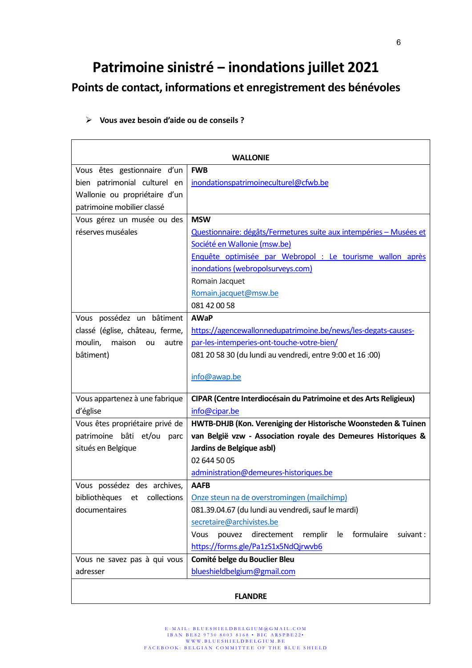# **Patrimoine sinistré ‒ inondations juillet 2021 Points de contact, informations et enregistrement des bénévoles**

| <b>WALLONIE</b>                    |                                                                          |
|------------------------------------|--------------------------------------------------------------------------|
| Vous êtes gestionnaire d'un        | <b>FWB</b>                                                               |
| bien patrimonial culturel en       | inondationspatrimoineculturel@cfwb.be                                    |
| Wallonie ou propriétaire d'un      |                                                                          |
| patrimoine mobilier classé         |                                                                          |
| Vous gérez un musée ou des         | <b>MSW</b>                                                               |
| réserves muséales                  | Questionnaire: dégâts/Fermetures suite aux intempéries - Musées et       |
|                                    |                                                                          |
|                                    | Société en Wallonie (msw.be)                                             |
|                                    | Enquête optimisée par Webropol : Le tourisme wallon après                |
|                                    | inondations (webropolsurveys.com)                                        |
|                                    | Romain Jacquet                                                           |
|                                    | Romain.jacquet@msw.be                                                    |
|                                    | 081 42 00 58                                                             |
| Vous possédez un bâtiment          | <b>AWaP</b>                                                              |
| classé (église, château, ferme,    | https://agencewallonnedupatrimoine.be/news/les-degats-causes-            |
| moulin, maison ou<br>autre         | par-les-intemperies-ont-touche-votre-bien/                               |
| bâtiment)                          | 081 20 58 30 (du lundi au vendredi, entre 9:00 et 16:00)                 |
|                                    | info@awap.be                                                             |
|                                    |                                                                          |
| Vous appartenez à une fabrique     | CIPAR (Centre Interdiocésain du Patrimoine et des Arts Religieux)        |
| d'église                           | info@cipar.be                                                            |
| Vous êtes propriétaire privé de    | HWTB-DHJB (Kon. Vereniging der Historische Woonsteden & Tuinen           |
| patrimoine bâti et/ou<br>parc      | van België vzw - Association royale des Demeures Historiques &           |
| situés en Belgique                 | Jardins de Belgique asbl)                                                |
|                                    | 02 644 50 05                                                             |
|                                    | administration@demeures-historiques.be                                   |
| Vous possédez des archives,        | <b>AAFB</b>                                                              |
| bibliothèques<br>collections<br>et | Onze steun na de overstromingen (mailchimp)                              |
| documentaires                      | 081.39.04.67 (du lundi au vendredi, sauf le mardi)                       |
|                                    | secretaire@archivistes.be                                                |
|                                    | formulaire<br>Vous<br>pouvez<br>directement<br>remplir<br>suivant:<br>le |
|                                    | https://forms.gle/Pa1zS1x5NdQjrwvb6                                      |
| Vous ne savez pas à qui vous       | Comité belge du Bouclier Bleu                                            |
| adresser                           | blueshieldbelgium@gmail.com                                              |
|                                    |                                                                          |

# **Vous avez besoin d'aide ou de conseils ?**

### **FLANDRE**